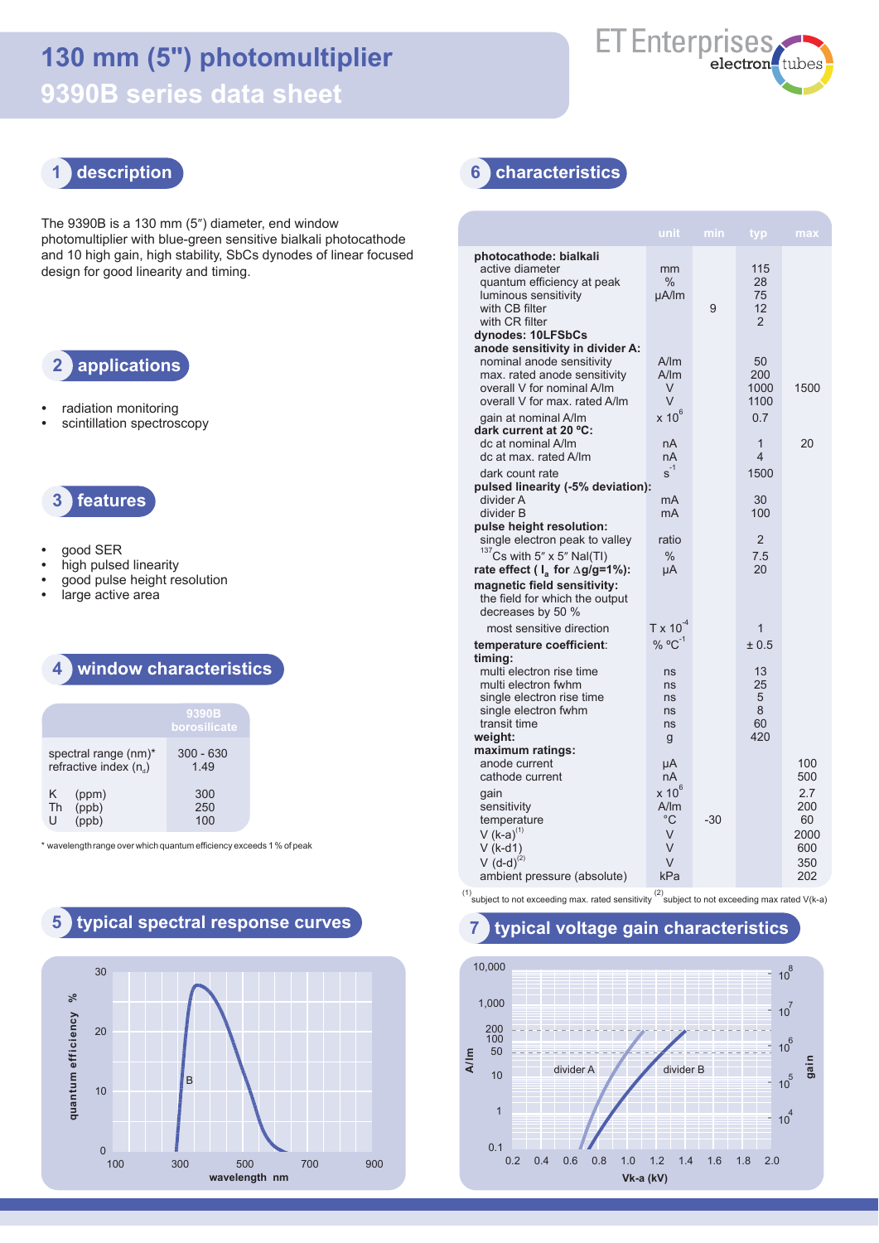# **130 mm (5") photomultiplier 9390B series data sheet**



**unit min typ max** The 9390B is a 130 mm (5") diameter, end window photomultiplier with blue-green sensitive bialkali photocathode and 10 high gain, high stability, SbCs dynodes of linear focused design for good linearity and timing.

# **2 applications**

- **•** radiation monitoring
- **•** scintillation spectroscopy



- **•** good SER
- **•** high pulsed linearity
- **•** good pulse height resolution
- **•** large active area

### **4 window characteristics**

|                                                  | 9390B<br>borosilicate |  |  |  |
|--------------------------------------------------|-----------------------|--|--|--|
| spectral range (nm)*<br>refractive index $(n_a)$ | $300 - 630$<br>149    |  |  |  |
| Κ<br>(ppm)<br>(ppb)<br>Th<br>Н                   | 300<br>250<br>100     |  |  |  |

\* wavelengthrange over which quantum efficiency exceeds 1 % of peak

# **5 typical spectral response curves 7 typical voltage gain characteristics**



 **1 description 6 characteristics**

|                                                                                                                                                                                             | unit                                      | min   | typ                                    | max                             |
|---------------------------------------------------------------------------------------------------------------------------------------------------------------------------------------------|-------------------------------------------|-------|----------------------------------------|---------------------------------|
| photocathode: bialkali<br>active diameter<br>quantum efficiency at peak<br>luminous sensitivity<br>with CB filter<br>with CR filter<br>dynodes: 10LFSbCs<br>anode sensitivity in divider A: | mm<br>℅<br>uA/lm                          | 9     | 115<br>28<br>75<br>12<br>$\mathcal{P}$ |                                 |
| nominal anode sensitivity<br>max. rated anode sensitivity<br>overall V for nominal A/Im<br>overall V for max, rated A/lm                                                                    | A/m<br>A/m<br>V<br>$\vee$                 |       | 50<br>200<br>1000<br>1100              | 1500                            |
| gain at nominal A/lm<br>dark current at 20 °C:<br>dc at nominal A/Im<br>dc at max, rated A/lm                                                                                               | $x 10^6$<br>nA<br>nA                      |       | 0.7<br>$\mathbf{1}$<br>4               | 20                              |
| dark count rate<br>pulsed linearity (-5% deviation):<br>divider A                                                                                                                           | $s^{-1}$<br>mA                            |       | 1500<br>30                             |                                 |
| divider B<br>pulse height resolution:<br>single electron peak to valley                                                                                                                     | mA<br>ratio                               |       | 100<br>$\overline{2}$                  |                                 |
| $137$ Cs with 5" x 5" Nal(TI)<br>rate effect ( $I_a$ for $\Delta g/g = 1\%$ ):                                                                                                              | $\%$<br>μA                                |       | 7.5<br>20                              |                                 |
| magnetic field sensitivity:<br>the field for which the output<br>decreases by 50 %                                                                                                          |                                           |       |                                        |                                 |
| most sensitive direction                                                                                                                                                                    | $T \times 10^{-4}$                        |       | 1                                      |                                 |
| temperature coefficient:<br>timing:                                                                                                                                                         | % $^{\circ}$ C <sup>-1</sup>              |       | ± 0.5                                  |                                 |
| multi electron rise time<br>multi electron fwhm<br>single electron rise time<br>single electron fwhm<br>transit time                                                                        | ns<br>ns<br>ns<br>ns<br>ns                |       | 13<br>25<br>5<br>8<br>60<br>420        |                                 |
| weight:<br>maximum ratings:                                                                                                                                                                 | g                                         |       |                                        |                                 |
| anode current<br>cathode current                                                                                                                                                            | μA<br>nA                                  |       |                                        | 100<br>500                      |
| gain<br>sensitivity<br>temperature<br>V (k-a) $^{(1)}$<br>$V$ (k-d1)                                                                                                                        | $x 10^6$<br>A/m<br>$^{\circ}$ C<br>V<br>V | $-30$ |                                        | 2.7<br>200<br>60<br>2000<br>600 |
| $V(d-d)^{(2)}$<br>ambient pressure (absolute)                                                                                                                                               | V<br>kPa                                  |       |                                        | 350<br>202                      |

(1)<br>Subject to not exceeding max. rated sensitivity subject to not exceeding max rated V(k-a)